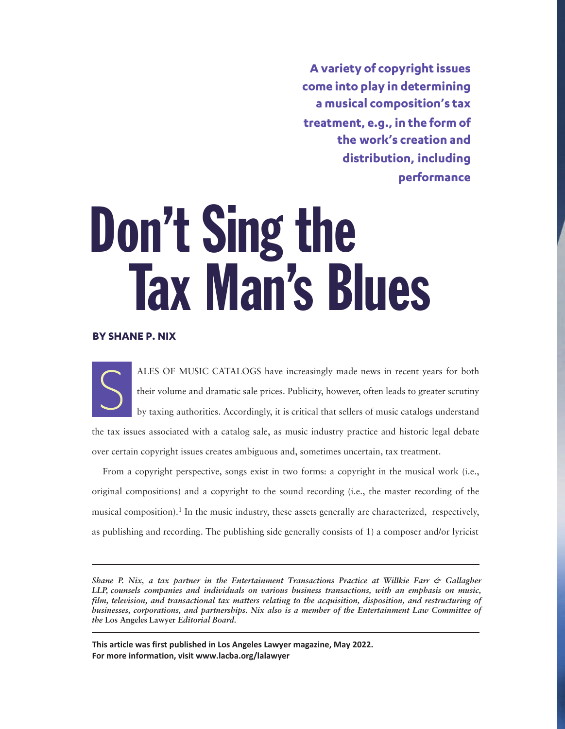**A variety of copyright issues come into play in determining a musical composition's tax treatment, e.g., in the form of the work's creation and distribution, including performance**

# Don't Sing the Tax Man's Blues

# **BY SHANE P. NIX**

ALES OF MUSIC CATALOGS have increasingly made news in recent years for both their volume and dramatic sale prices. Publicity, however, often leads to greater scrutiny by taxing authorities. Accordingly, it is critical that sellers of music catalogs understand the tax issues associated with a catalog sale, as music industry practice and historic legal debate over certain copyright issues creates ambiguous and, sometimes uncertain, tax treatment.

From a copyright perspective, songs exist in two forms: a copyright in the musical work (i.e., original compositions) and a copyright to the sound recording (i.e., the master recording of the musical composition).1 In the music industry, these assets generally are characterized, respectively, as publishing and recording. The publishing side generally consists of 1) a composer and/or lyricist

*Shane P. Nix, a tax partner in the Entertainment Transactions Practice at Willkie Farr & Gallagher LLP, counsels companies and individuals on various business transactions, with an emphasis on music, film, television, and transactional tax matters relating to the acquisition, disposition, and restructuring of businesses, corporations, and partnerships. Nix also is a member of the Entertainment Law Committee of the* **Los Angeles Lawyer** *Editorial Board.* 

**This article was first published in Los Angeles Lawyer magazine, May 2022. For more information, visit <www.lacba.org/lalawyer>**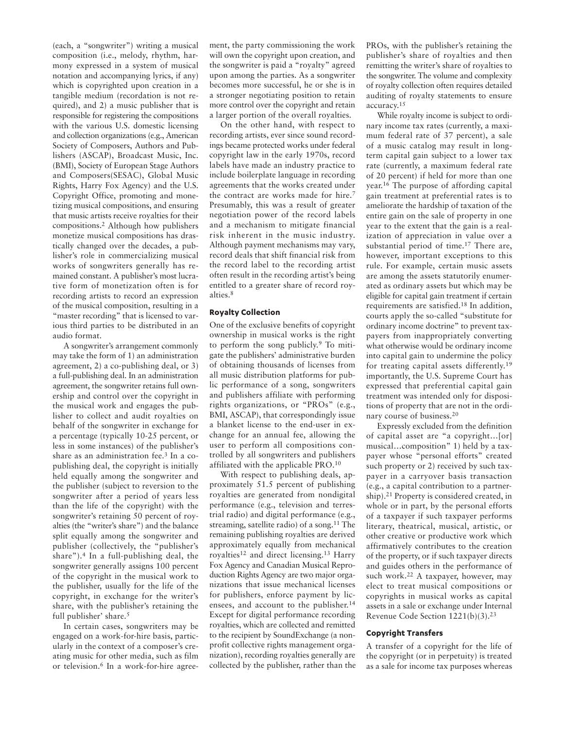(each, a "songwriter") writing a musical composition (i.e., melody, rhythm, harmony expressed in a system of musical notation and accompanying lyrics, if any) which is copyrighted upon creation in a tangible medium (recordation is not required), and 2) a music publisher that is responsible for registering the compositions with the various U.S. domestic licensing and collection organizations (e.g., American Society of Composers, Authors and Publishers (ASCAP), Broadcast Music, Inc. (BMI), Society of European Stage Authors and Composers(SESAC), Global Music Rights, Harry Fox Agency) and the U.S. Copyright Office, promoting and monetizing musical compositions, and ensuring that music artists receive royalties for their compositions.2 Although how publishers monetize musical compositions has drastically changed over the decades, a publisher's role in commercializing musical works of songwriters generally has remained constant. A publisher's most lucrative form of monetization often is for recording artists to record an expression of the musical composition, resulting in a "master recording" that is licensed to various third parties to be distributed in an audio format.

A songwriter's arrangement commonly may take the form of 1) an administration agreement, 2) a co-publishing deal, or 3) a full-publishing deal. In an administration agreement, the songwriter retains full ownership and control over the copyright in the musical work and engages the publisher to collect and audit royalties on behalf of the songwriter in exchange for a percentage (typically 10-25 percent, or less in some instances) of the publisher's share as an administration fee.3 In a copublishing deal, the copyright is initially held equally among the songwriter and the publisher (subject to reversion to the songwriter after a period of years less than the life of the copyright) with the songwriter's retaining 50 percent of royalties (the "writer's share") and the balance split equally among the songwriter and publisher (collectively, the "publisher's share").4 In a full-publishing deal, the songwriter generally assigns 100 percent of the copyright in the musical work to the publisher, usually for the life of the copyright, in exchange for the writer's share, with the publisher's retaining the full publisher' share.5

In certain cases, songwriters may be engaged on a work-for-hire basis, particularly in the context of a composer's creating music for other media, such as film or television.6 In a work-for-hire agreement, the party commissioning the work will own the copyright upon creation, and the songwriter is paid a "royalty" agreed upon among the parties. As a songwriter becomes more successful, he or she is in a stronger negotiating position to retain more control over the copyright and retain a larger portion of the overall royalties.

On the other hand, with respect to recording artists, ever since sound recordings became protected works under federal copyright law in the early 1970s, record labels have made an industry practice to include boilerplate language in recording agreements that the works created under the contract are works made for hire.<sup>7</sup> Presumably, this was a result of greater negotiation power of the record labels and a mechanism to mitigate financial risk inherent in the music industry. Although payment mechanisms may vary, record deals that shift financial risk from the record label to the recording artist often result in the recording artist's being entitled to a greater share of record royalties.<sup>8</sup>

## **Royalty Collection**

One of the exclusive benefits of copyright ownership in musical works is the right to perform the song publicly. <sup>9</sup> To mitigate the publishers' administrative burden of obtaining thousands of licenses from all music distribution platforms for public performance of a song, songwriters and publishers affiliate with performing rights organizations, or "PROs" (e.g., BMI, ASCAP), that correspondingly issue a blanket license to the end-user in exchange for an annual fee, allowing the user to perform all compositions controlled by all songwriters and publishers affiliated with the applicable PRO.<sup>10</sup>

With respect to publishing deals, approximately 51.5 percent of publishing royalties are generated from nondigital performance (e.g., television and terrestrial radio) and digital performance (e.g., streaming, satellite radio) of a song.<sup>11</sup> The remaining publishing royalties are derived approximately equally from mechanical royalties<sup>12</sup> and direct licensing.<sup>13</sup> Harry Fox Agency and Canadian Musical Reproduction Rights Agency are two major organizations that issue mechanical licenses for publishers, enforce payment by licensees, and account to the publisher. 14 Except for digital performance recording royalties, which are collected and remitted to the recipient by SoundExchange (a nonprofit collective rights management organization), recording royalties generally are collected by the publisher, rather than the PROs, with the publisher's retaining the publisher's share of royalties and then remitting the writer's share of royalties to the songwriter. The volume and complexity of royalty collection often requires detailed auditing of royalty statements to ensure accuracy.15

While royalty income is subject to ordinary income tax rates (currently, a maximum federal rate of 37 percent), a sale of a music catalog may result in longterm capital gain subject to a lower tax rate (currently, a maximum federal rate of 20 percent) if held for more than one year.16 The purpose of affording capital gain treatment at preferential rates is to ameliorate the hardship of taxation of the entire gain on the sale of property in one year to the extent that the gain is a realization of appreciation in value over a substantial period of time.<sup>17</sup> There are, however, important exceptions to this rule. For example, certain music assets are among the assets statutorily enumerated as ordinary assets but which may be eligible for capital gain treatment if certain requirements are satisfied.18 In addition, courts apply the so-called "substitute for ordinary income doctrine" to prevent taxpayers from inappropriately converting what otherwise would be ordinary income into capital gain to undermine the policy for treating capital assets differently.19 importantly, the U.S. Supreme Court has expressed that preferential capital gain treatment was intended only for dispositions of property that are not in the ordinary course of business.20

Expressly excluded from the definition of capital asset are "a copyright…[or] musical...composition" 1) held by a taxpayer whose "personal efforts" created such property or 2) received by such taxpayer in a carryover basis transaction (e.g., a capital contribution to a partnership).21 Property is considered created, in whole or in part, by the personal efforts of a taxpayer if such taxpayer performs literary, theatrical, musical, artistic, or other creative or productive work which affirmatively contributes to the creation of the property, or if such taxpayer directs and guides others in the performance of such work.22 A taxpayer, however, may elect to treat musical compositions or copyrights in musical works as capital assets in a sale or exchange under Internal Revenue Code Section 1221(b)(3).23

### **Copyright Transfers**

A transfer of a copyright for the life of the copyright (or in perpetuity) is treated as a sale for income tax purposes whereas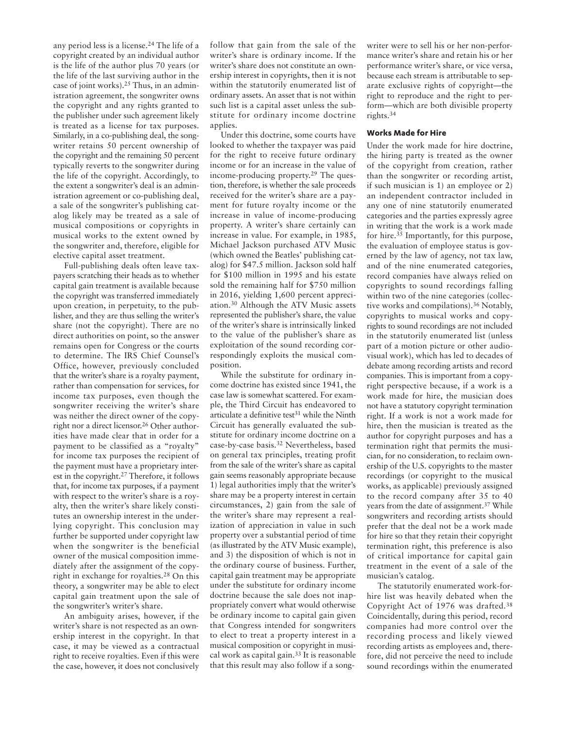any period less is a license.24 The life of a copyright created by an individual author is the life of the author plus 70 years (or the life of the last surviving author in the case of joint works).25 Thus, in an administration agreement, the songwriter owns the copyright and any rights granted to the publisher under such agreement likely is treated as a license for tax purposes. Similarly, in a co-publishing deal, the songwriter retains 50 percent ownership of the copyright and the remaining 50 percent typically reverts to the songwriter during the life of the copyright. Accordingly, to the extent a songwriter's deal is an administration agreement or co-publishing deal, a sale of the songwriter's publishing catalog likely may be treated as a sale of musical compositions or copyrights in musical works to the extent owned by the songwriter and, therefore, eligible for elective capital asset treatment.

Full-publishing deals often leave taxpayers scratching their heads as to whether capital gain treatment is available because the copyright was transferred immediately upon creation, in perpetuity, to the publisher, and they are thus selling the writer's share (not the copyright). There are no direct authorities on point, so the answer remains open for Congress or the courts to determine. The IRS Chief Counsel's Office, however, previously concluded that the writer's share is a royalty payment, rather than compensation for services, for income tax purposes, even though the songwriter receiving the writer's share was neither the direct owner of the copyright nor a direct licensor.26 Other authorities have made clear that in order for a payment to be classified as a "royalty" for income tax purposes the recipient of the payment must have a proprietary interest in the copyright.27 Therefore, it follows that, for income tax purposes, if a payment with respect to the writer's share is a royalty, then the writer's share likely constitutes an ownership interest in the underlying copyright. This conclusion may further be supported under copyright law when the songwriter is the beneficial owner of the musical composition immediately after the assignment of the copyright in exchange for royalties.28 On this theory, a songwriter may be able to elect capital gain treatment upon the sale of the songwriter's writer's share.

An ambiguity arises, however, if the writer's share is not respected as an ownership interest in the copyright. In that case, it may be viewed as a contractual right to receive royalties. Even if this were the case, however, it does not conclusively

follow that gain from the sale of the writer's share is ordinary income. If the writer's share does not constitute an ownership interest in copyrights, then it is not within the statutorily enumerated list of ordinary assets. An asset that is not within such list is a capital asset unless the substitute for ordinary income doctrine applies.

Under this doctrine, some courts have looked to whether the taxpayer was paid for the right to receive future ordinary income or for an increase in the value of income-producing property. <sup>29</sup> The question, therefore, is whether the sale proceeds received for the writer's share are a payment for future royalty income or the increase in value of income-producing property. A writer's share certainly can increase in value. For example, in 1985, Michael Jackson purchased ATV Music (which owned the Beatles' publishing catalog) for \$47.5 million. Jackson sold half for \$100 million in 1995 and his estate sold the remaining half for \$750 million in 2016, yielding 1,600 percent appreciation.<sup>30</sup> Although the ATV Music assets represented the publisher's share, the value of the writer's share is intrinsically linked to the value of the publisher's share as exploitation of the sound recording correspondingly exploits the musical composition.

While the substitute for ordinary income doctrine has existed since 1941, the case law is somewhat scattered. For example, the Third Circuit has endeavored to articulate a definitive test $31$  while the Ninth Circuit has generally evaluated the substitute for ordinary income doctrine on a case-by-case basis.<sup>32</sup> Nevertheless, based on general tax principles, treating profit from the sale of the writer's share as capital gain seems reasonably appropriate because 1) legal authorities imply that the writer's share may be a property interest in certain circumstances, 2) gain from the sale of the writer's share may represent a realization of appreciation in value in such property over a substantial period of time (as illustrated by the ATV Music example), and 3) the disposition of which is not in the ordinary course of business. Further, capital gain treatment may be appropriate under the substitute for ordinary income doctrine because the sale does not inappropriately convert what would otherwise be ordinary income to capital gain given that Congress intended for songwriters to elect to treat a property interest in a musical composition or copyright in musical work as capital gain.<sup>33</sup> It is reasonable that this result may also follow if a song-

writer were to sell his or her non-performance writer's share and retain his or her performance writer's share, or vice versa, because each stream is attributable to separate exclusive rights of copyright—the right to reproduce and the right to perform—which are both divisible property rights.34

### **Works Made for Hire**

Under the work made for hire doctrine, the hiring party is treated as the owner of the copyright from creation, rather than the songwriter or recording artist, if such musician is 1) an employee or 2) an independent contractor included in any one of nine statutorily enumerated categories and the parties expressly agree in writing that the work is a work made for hire.35 Importantly, for this purpose, the evaluation of employee status is governed by the law of agency, not tax law, and of the nine enumerated categories, record companies have always relied on copyrights to sound recordings falling within two of the nine categories (collective works and compilations).36 Notably, copyrights to musical works and copyrights to sound recordings are not included in the statutorily enumerated list (unless part of a motion picture or other audiovisual work), which has led to decades of debate among recording artists and record companies. This is important from a copyright perspective because, if a work is a work made for hire, the musician does not have a statutory copyright termination right. If a work is not a work made for hire, then the musician is treated as the author for copyright purposes and has a termination right that permits the musician, for no consideration, to reclaim ownership of the U.S. copyrights to the master recordings (or copyright to the musical works, as applicable) previously assigned to the record company after 35 to 40 years from the date of assignment.37 While songwriters and recording artists should prefer that the deal not be a work made for hire so that they retain their copyright termination right, this preference is also of critical importance for capital gain treatment in the event of a sale of the musician's catalog.

The statutorily enumerated work-forhire list was heavily debated when the Copyright Act of 1976 was drafted.38 Coincidentally, during this period, record companies had more control over the recording process and likely viewed recording artists as employees and, therefore, did not perceive the need to include sound recordings within the enumerated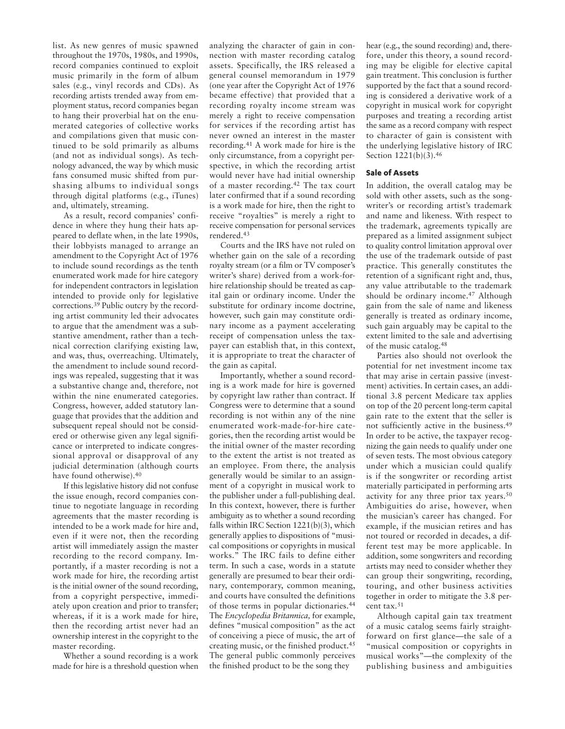list. As new genres of music spawned throughout the 1970s, 1980s, and 1990s, record companies continued to exploit music primarily in the form of album sales (e.g., vinyl records and CDs). As recording artists trended away from employment status, record companies began to hang their proverbial hat on the enumerated categories of collective works and compilations given that music continued to be sold primarily as albums (and not as individual songs). As technology advanced, the way by which music fans consumed music shifted from purshasing albums to individual songs through digital platforms (e.g., iTunes) and, ultimately, streaming.

As a result, record companies' confidence in where they hung their hats appeared to deflate when, in the late 1990s, their lobbyists managed to arrange an amendment to the Copyright Act of 1976 to include sound recordings as the tenth enumerated work made for hire category for independent contractors in legislation intended to provide only for legislative corrections.39 Public outcry by the recording artist community led their advocates to argue that the amendment was a substantive amendment, rather than a technical correction clarifying existing law, and was, thus, overreaching. Ultimately, the amendment to include sound recordings was repealed, suggesting that it was a substantive change and, therefore, not within the nine enumerated categories. Congress, however, added statutory language that provides that the addition and subsequent repeal should not be considered or otherwise given any legal significance or interpreted to indicate congressional approval or disapproval of any judicial determination (although courts have found otherwise).40

If this legislative history did not confuse the issue enough, record companies continue to negotiate language in recording agreements that the master recording is intended to be a work made for hire and, even if it were not, then the recording artist will immediately assign the master recording to the record company. Importantly, if a master recording is not a work made for hire, the recording artist is the initial owner of the sound recording, from a copyright perspective, immediately upon creation and prior to transfer; whereas, if it is a work made for hire, then the recording artist never had an ownership interest in the copyright to the master recording.

Whether a sound recording is a work made for hire is a threshold question when analyzing the character of gain in connection with master recording catalog assets. Specifically, the IRS released a general counsel memorandum in 1979 (one year after the Copyright Act of 1976 became effective) that provided that a recording royalty income stream was merely a right to receive compensation for services if the recording artist has never owned an interest in the master recording.<sup>41</sup> A work made for hire is the only circumstance, from a copyright perspective, in which the recording artist would never have had initial ownership of a master recording.<sup>42</sup> The tax court later confirmed that if a sound recording is a work made for hire, then the right to receive "royalties" is merely a right to receive compensation for personal services rendered.<sup>43</sup>

Courts and the IRS have not ruled on whether gain on the sale of a recording royalty stream (or a film or TV composer's writer's share) derived from a work-forhire relationship should be treated as capital gain or ordinary income. Under the substitute for ordinary income doctrine, however, such gain may constitute ordinary income as a payment accelerating receipt of compensation unless the taxpayer can establish that, in this context, it is appropriate to treat the character of the gain as capital.

Importantly, whether a sound recording is a work made for hire is governed by copyright law rather than contract. If Congress were to determine that a sound recording is not within any of the nine enumerated work-made-for-hire categories, then the recording artist would be the initial owner of the master recording to the extent the artist is not treated as an employee. From there, the analysis generally would be similar to an assignment of a copyright in musical work to the publisher under a full-publishing deal. In this context, however, there is further ambiguity as to whether a sound recording falls within IRC Section 1221(b)(3), which generally applies to dispositions of "musical compositions or copyrights in musical works." The IRC fails to define either term. In such a case, words in a statute generally are presumed to bear their ordinary, contemporary, common meaning, and courts have consulted the definitions of those terms in popular dictionaries.<sup>44</sup> The *Encyclopedia Britannica,* for example, defines "musical composition" as the act of conceiving a piece of music, the art of creating music, or the finished product.<sup>45</sup> The general public commonly perceives the finished product to be the song they

hear (e.g., the sound recording) and, therefore, under this theory, a sound recording may be eligible for elective capital gain treatment. This conclusion is further supported by the fact that a sound recording is considered a derivative work of a copyright in musical work for copyright purposes and treating a recording artist the same as a record company with respect to character of gain is consistent with the underlying legislative history of IRC Section 1221(b)(3).46

### **Sale of Assets**

In addition, the overall catalog may be sold with other assets, such as the songwriter's or recording artist's trademark and name and likeness. With respect to the trademark, agreements typically are prepared as a limited assignment subject to quality control limitation approval over the use of the trademark outside of past practice. This generally constitutes the retention of a significant right and, thus, any value attributable to the trademark should be ordinary income.47 Although gain from the sale of name and likeness generally is treated as ordinary income, such gain arguably may be capital to the extent limited to the sale and advertising of the music catalog.48

Parties also should not overlook the potential for net investment income tax that may arise in certain passive (investment) activities. In certain cases, an additional 3.8 percent Medicare tax applies on top of the 20 percent long-term capital gain rate to the extent that the seller is not sufficiently active in the business.49 In order to be active, the taxpayer recognizing the gain needs to qualify under one of seven tests. The most obvious category under which a musician could qualify is if the songwriter or recording artist materially participated in performing arts activity for any three prior tax years.50 Am biguities do arise, however, when the musician's career has changed. For example, if the musician retires and has not toured or recorded in decades, a different test may be more applicable. In addition, some songwriters and recording artists may need to consider whether they can group their songwriting, recording, touring, and other business activities together in order to mitigate the 3.8 percent tax.<sup>51</sup>

Although capital gain tax treatment of a music catalog seems fairly straightforward on first glance—the sale of a "musical composition or copyrights in musical works"—the complexity of the publishing business and ambiguities